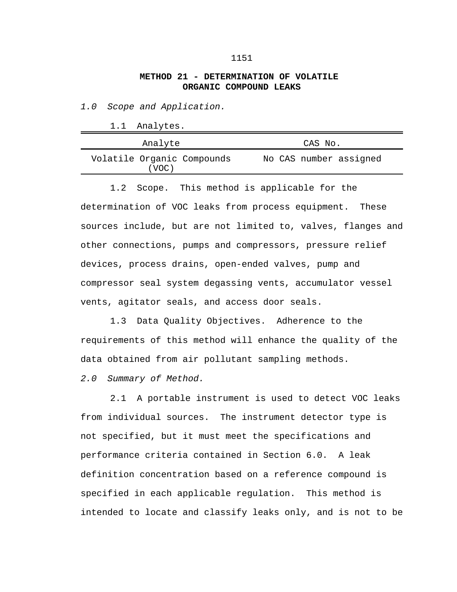## **METHOD 21 - DETERMINATION OF VOLATILE ORGANIC COMPOUND LEAKS**

*1.0 Scope and Application.*

1.1 Analytes.

| Analyte                             | CAS No.                |
|-------------------------------------|------------------------|
| Volatile Organic Compounds<br>(VOC) | No CAS number assigned |

1.2 Scope. This method is applicable for the determination of VOC leaks from process equipment. These sources include, but are not limited to, valves, flanges and other connections, pumps and compressors, pressure relief devices, process drains, open-ended valves, pump and compressor seal system degassing vents, accumulator vessel vents, agitator seals, and access door seals.

1.3 Data Quality Objectives. Adherence to the requirements of this method will enhance the quality of the data obtained from air pollutant sampling methods.

*2.0 Summary of Method.*

2.1 A portable instrument is used to detect VOC leaks from individual sources. The instrument detector type is not specified, but it must meet the specifications and performance criteria contained in Section 6.0. A leak definition concentration based on a reference compound is specified in each applicable regulation. This method is intended to locate and classify leaks only, and is not to be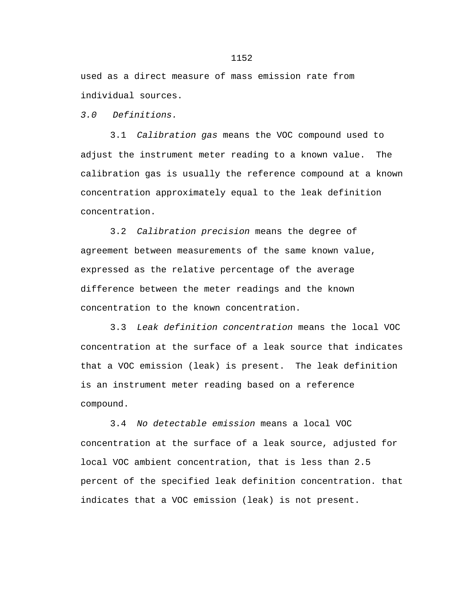used as a direct measure of mass emission rate from individual sources.

*3.0 Definitions.*

3.1 *Calibration gas* means the VOC compound used to adjust the instrument meter reading to a known value. The calibration gas is usually the reference compound at a known concentration approximately equal to the leak definition concentration.

3.2 *Calibration precision* means the degree of agreement between measurements of the same known value, expressed as the relative percentage of the average difference between the meter readings and the known concentration to the known concentration.

3.3 *Leak definition concentration* means the local VOC concentration at the surface of a leak source that indicates that a VOC emission (leak) is present. The leak definition is an instrument meter reading based on a reference compound.

3.4 *No detectable emission* means a local VOC concentration at the surface of a leak source, adjusted for local VOC ambient concentration, that is less than 2.5 percent of the specified leak definition concentration. that indicates that a VOC emission (leak) is not present.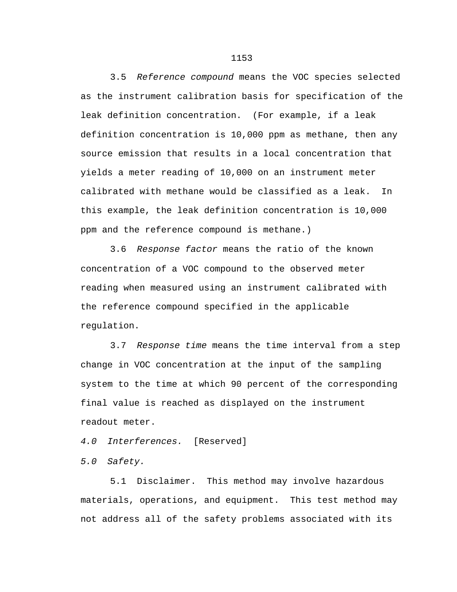3.5 *Reference compound* means the VOC species selected as the instrument calibration basis for specification of the leak definition concentration. (For example, if a leak definition concentration is 10,000 ppm as methane, then any source emission that results in a local concentration that yields a meter reading of 10,000 on an instrument meter calibrated with methane would be classified as a leak. In this example, the leak definition concentration is 10,000 ppm and the reference compound is methane.)

3.6 *Response factor* means the ratio of the known concentration of a VOC compound to the observed meter reading when measured using an instrument calibrated with the reference compound specified in the applicable regulation.

3.7 *Response time* means the time interval from a step change in VOC concentration at the input of the sampling system to the time at which 90 percent of the corresponding final value is reached as displayed on the instrument readout meter.

*4.0 Interferences.* [Reserved]

*5.0 Safety.*

5.1 Disclaimer. This method may involve hazardous materials, operations, and equipment. This test method may not address all of the safety problems associated with its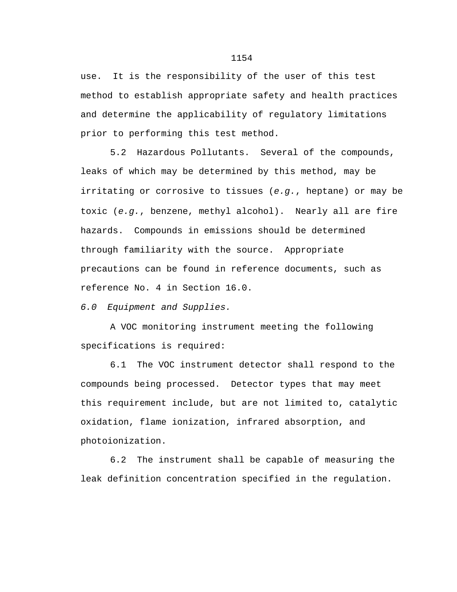use. It is the responsibility of the user of this test method to establish appropriate safety and health practices and determine the applicability of regulatory limitations prior to performing this test method.

5.2 Hazardous Pollutants. Several of the compounds, leaks of which may be determined by this method, may be irritating or corrosive to tissues (*e.g.*, heptane) or may be toxic (*e.g.*, benzene, methyl alcohol). Nearly all are fire hazards. Compounds in emissions should be determined through familiarity with the source. Appropriate precautions can be found in reference documents, such as reference No. 4 in Section 16.0.

*6.0 Equipment and Supplies.*

A VOC monitoring instrument meeting the following specifications is required:

6.1 The VOC instrument detector shall respond to the compounds being processed. Detector types that may meet this requirement include, but are not limited to, catalytic oxidation, flame ionization, infrared absorption, and photoionization.

6.2 The instrument shall be capable of measuring the leak definition concentration specified in the regulation.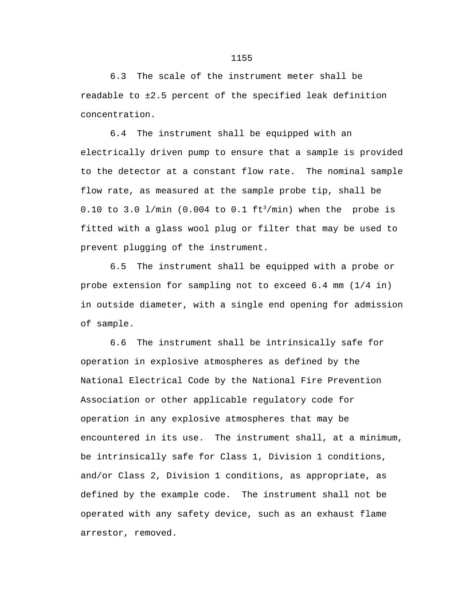6.3 The scale of the instrument meter shall be readable to ±2.5 percent of the specified leak definition concentration.

6.4 The instrument shall be equipped with an electrically driven pump to ensure that a sample is provided to the detector at a constant flow rate. The nominal sample flow rate, as measured at the sample probe tip, shall be 0.10 to 3.0  $1/min$  (0.004 to 0.1  $ft^3/min$ ) when the probe is fitted with a glass wool plug or filter that may be used to prevent plugging of the instrument.

6.5 The instrument shall be equipped with a probe or probe extension for sampling not to exceed 6.4 mm (1/4 in) in outside diameter, with a single end opening for admission of sample.

6.6 The instrument shall be intrinsically safe for operation in explosive atmospheres as defined by the National Electrical Code by the National Fire Prevention Association or other applicable regulatory code for operation in any explosive atmospheres that may be encountered in its use. The instrument shall, at a minimum, be intrinsically safe for Class 1, Division 1 conditions, and/or Class 2, Division 1 conditions, as appropriate, as defined by the example code. The instrument shall not be operated with any safety device, such as an exhaust flame arrestor, removed.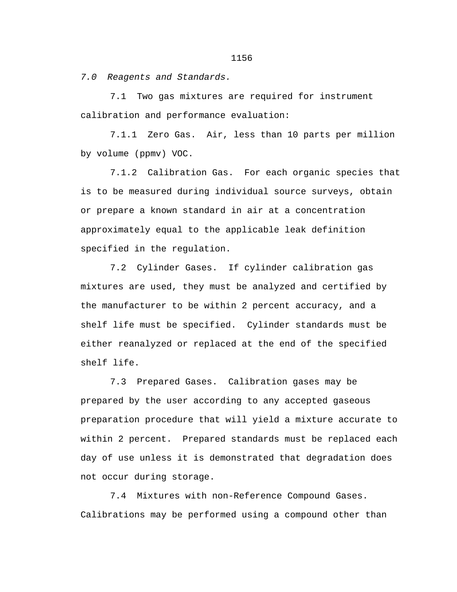*7.0 Reagents and Standards.*

7.1 Two gas mixtures are required for instrument calibration and performance evaluation:

7.1.1 Zero Gas. Air, less than 10 parts per million by volume (ppmv) VOC.

7.1.2 Calibration Gas. For each organic species that is to be measured during individual source surveys, obtain or prepare a known standard in air at a concentration approximately equal to the applicable leak definition specified in the regulation.

7.2 Cylinder Gases. If cylinder calibration gas mixtures are used, they must be analyzed and certified by the manufacturer to be within 2 percent accuracy, and a shelf life must be specified. Cylinder standards must be either reanalyzed or replaced at the end of the specified shelf life.

7.3 Prepared Gases. Calibration gases may be prepared by the user according to any accepted gaseous preparation procedure that will yield a mixture accurate to within 2 percent. Prepared standards must be replaced each day of use unless it is demonstrated that degradation does not occur during storage.

7.4 Mixtures with non-Reference Compound Gases. Calibrations may be performed using a compound other than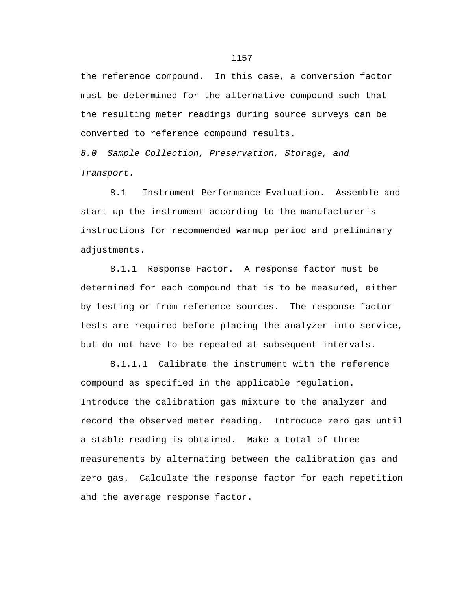the reference compound. In this case, a conversion factor must be determined for the alternative compound such that the resulting meter readings during source surveys can be converted to reference compound results.

*8.0 Sample Collection, Preservation, Storage, and Transport.*

8.1 Instrument Performance Evaluation. Assemble and start up the instrument according to the manufacturer's instructions for recommended warmup period and preliminary adjustments.

8.1.1 Response Factor. A response factor must be determined for each compound that is to be measured, either by testing or from reference sources. The response factor tests are required before placing the analyzer into service, but do not have to be repeated at subsequent intervals.

8.1.1.1 Calibrate the instrument with the reference compound as specified in the applicable regulation. Introduce the calibration gas mixture to the analyzer and record the observed meter reading. Introduce zero gas until a stable reading is obtained. Make a total of three measurements by alternating between the calibration gas and zero gas. Calculate the response factor for each repetition and the average response factor.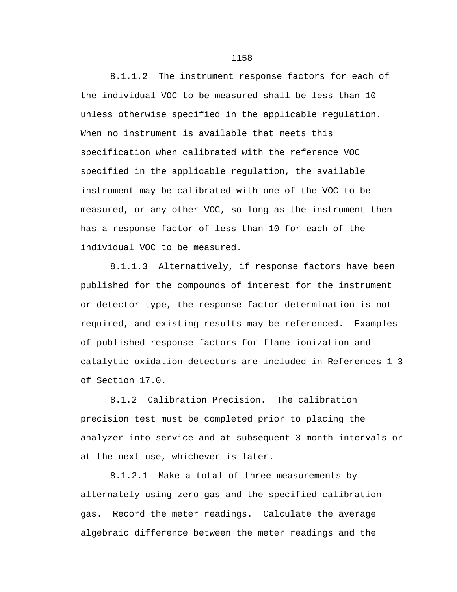8.1.1.2 The instrument response factors for each of the individual VOC to be measured shall be less than 10 unless otherwise specified in the applicable regulation. When no instrument is available that meets this specification when calibrated with the reference VOC specified in the applicable regulation, the available instrument may be calibrated with one of the VOC to be measured, or any other VOC, so long as the instrument then has a response factor of less than 10 for each of the individual VOC to be measured.

8.1.1.3 Alternatively, if response factors have been published for the compounds of interest for the instrument or detector type, the response factor determination is not required, and existing results may be referenced. Examples of published response factors for flame ionization and catalytic oxidation detectors are included in References 1-3 of Section 17.0.

8.1.2 Calibration Precision. The calibration precision test must be completed prior to placing the analyzer into service and at subsequent 3-month intervals or at the next use, whichever is later.

8.1.2.1 Make a total of three measurements by alternately using zero gas and the specified calibration gas. Record the meter readings. Calculate the average algebraic difference between the meter readings and the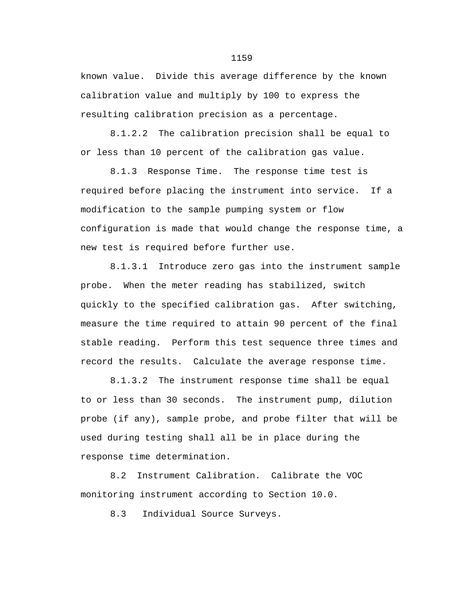known value. Divide this average difference by the known calibration value and multiply by 100 to express the resulting calibration precision as a percentage.

8.1.2.2 The calibration precision shall be equal to or less than 10 percent of the calibration gas value.

8.1.3 Response Time. The response time test is required before placing the instrument into service. If a modification to the sample pumping system or flow configuration is made that would change the response time, a new test is required before further use.

8.1.3.1 Introduce zero gas into the instrument sample probe. When the meter reading has stabilized, switch quickly to the specified calibration gas. After switching, measure the time required to attain 90 percent of the final stable reading. Perform this test sequence three times and record the results. Calculate the average response time.

8.1.3.2 The instrument response time shall be equal to or less than 30 seconds. The instrument pump, dilution probe (if any), sample probe, and probe filter that will be used during testing shall all be in place during the response time determination.

8.2 Instrument Calibration. Calibrate the VOC monitoring instrument according to Section 10.0.

8.3 Individual Source Surveys.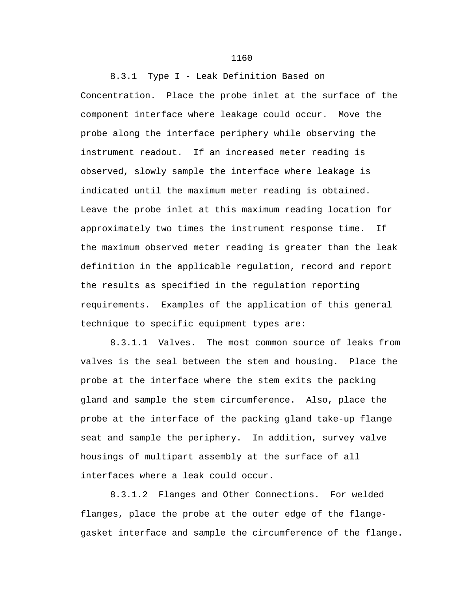8.3.1 Type I - Leak Definition Based on Concentration. Place the probe inlet at the surface of the component interface where leakage could occur. Move the probe along the interface periphery while observing the instrument readout. If an increased meter reading is observed, slowly sample the interface where leakage is indicated until the maximum meter reading is obtained. Leave the probe inlet at this maximum reading location for approximately two times the instrument response time. If the maximum observed meter reading is greater than the leak definition in the applicable regulation, record and report the results as specified in the regulation reporting requirements. Examples of the application of this general technique to specific equipment types are:

8.3.1.1 Valves. The most common source of leaks from valves is the seal between the stem and housing. Place the probe at the interface where the stem exits the packing gland and sample the stem circumference. Also, place the probe at the interface of the packing gland take-up flange seat and sample the periphery. In addition, survey valve housings of multipart assembly at the surface of all interfaces where a leak could occur.

8.3.1.2 Flanges and Other Connections. For welded flanges, place the probe at the outer edge of the flangegasket interface and sample the circumference of the flange.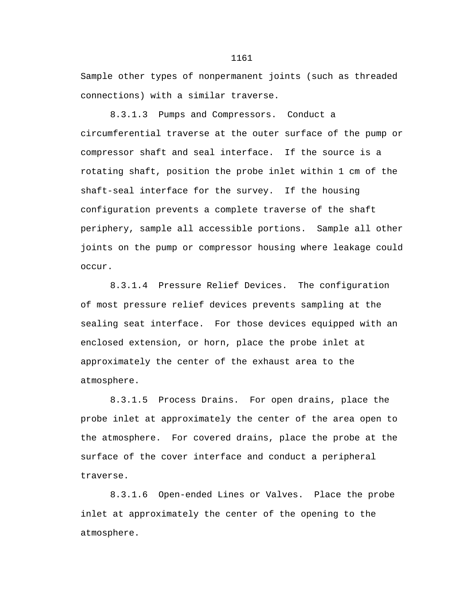Sample other types of nonpermanent joints (such as threaded connections) with a similar traverse.

8.3.1.3 Pumps and Compressors. Conduct a circumferential traverse at the outer surface of the pump or compressor shaft and seal interface. If the source is a rotating shaft, position the probe inlet within 1 cm of the shaft-seal interface for the survey. If the housing configuration prevents a complete traverse of the shaft periphery, sample all accessible portions. Sample all other joints on the pump or compressor housing where leakage could occur.

8.3.1.4 Pressure Relief Devices. The configuration of most pressure relief devices prevents sampling at the sealing seat interface. For those devices equipped with an enclosed extension, or horn, place the probe inlet at approximately the center of the exhaust area to the atmosphere.

8.3.1.5 Process Drains. For open drains, place the probe inlet at approximately the center of the area open to the atmosphere. For covered drains, place the probe at the surface of the cover interface and conduct a peripheral traverse.

8.3.1.6 Open-ended Lines or Valves. Place the probe inlet at approximately the center of the opening to the atmosphere.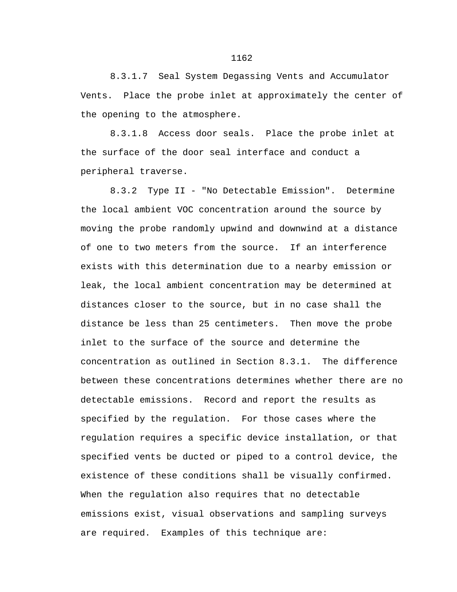8.3.1.7 Seal System Degassing Vents and Accumulator Vents. Place the probe inlet at approximately the center of the opening to the atmosphere.

8.3.1.8 Access door seals. Place the probe inlet at the surface of the door seal interface and conduct a peripheral traverse.

8.3.2 Type II - "No Detectable Emission". Determine the local ambient VOC concentration around the source by moving the probe randomly upwind and downwind at a distance of one to two meters from the source. If an interference exists with this determination due to a nearby emission or leak, the local ambient concentration may be determined at distances closer to the source, but in no case shall the distance be less than 25 centimeters. Then move the probe inlet to the surface of the source and determine the concentration as outlined in Section 8.3.1. The difference between these concentrations determines whether there are no detectable emissions. Record and report the results as specified by the regulation. For those cases where the regulation requires a specific device installation, or that specified vents be ducted or piped to a control device, the existence of these conditions shall be visually confirmed. When the regulation also requires that no detectable emissions exist, visual observations and sampling surveys are required. Examples of this technique are: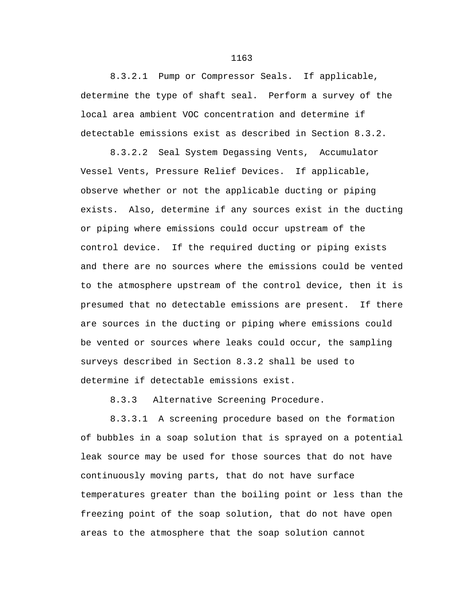8.3.2.1 Pump or Compressor Seals. If applicable, determine the type of shaft seal. Perform a survey of the local area ambient VOC concentration and determine if detectable emissions exist as described in Section 8.3.2.

8.3.2.2 Seal System Degassing Vents, Accumulator Vessel Vents, Pressure Relief Devices. If applicable, observe whether or not the applicable ducting or piping exists. Also, determine if any sources exist in the ducting or piping where emissions could occur upstream of the control device. If the required ducting or piping exists and there are no sources where the emissions could be vented to the atmosphere upstream of the control device, then it is presumed that no detectable emissions are present. If there are sources in the ducting or piping where emissions could be vented or sources where leaks could occur, the sampling surveys described in Section 8.3.2 shall be used to determine if detectable emissions exist.

8.3.3 Alternative Screening Procedure.

8.3.3.1 A screening procedure based on the formation of bubbles in a soap solution that is sprayed on a potential leak source may be used for those sources that do not have continuously moving parts, that do not have surface temperatures greater than the boiling point or less than the freezing point of the soap solution, that do not have open areas to the atmosphere that the soap solution cannot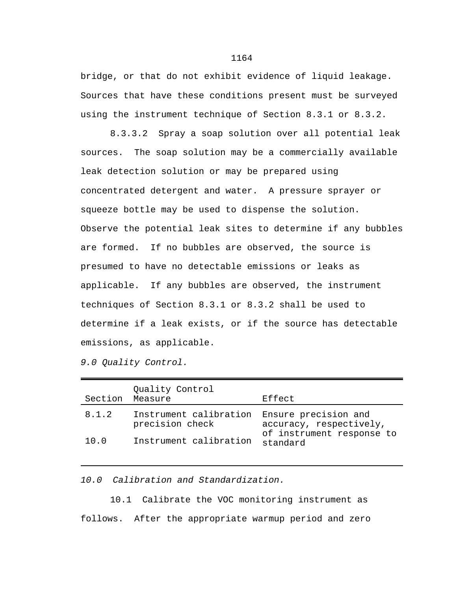bridge, or that do not exhibit evidence of liquid leakage. Sources that have these conditions present must be surveyed using the instrument technique of Section 8.3.1 or 8.3.2.

8.3.3.2 Spray a soap solution over all potential leak sources. The soap solution may be a commercially available leak detection solution or may be prepared using concentrated detergent and water. A pressure sprayer or squeeze bottle may be used to dispense the solution. Observe the potential leak sites to determine if any bubbles are formed. If no bubbles are observed, the source is presumed to have no detectable emissions or leaks as applicable. If any bubbles are observed, the instrument techniques of Section 8.3.1 or 8.3.2 shall be used to determine if a leak exists, or if the source has detectable emissions, as applicable.

*9.0 Quality Control.*

| Section | Quality Control<br>Measure                | Effect                                                                                   |
|---------|-------------------------------------------|------------------------------------------------------------------------------------------|
| 8.1.2   | Instrument calibration<br>precision check | Ensure precision and<br>accuracy, respectively,<br>of instrument response to<br>standard |
| 10.0    | Instrument calibration                    |                                                                                          |

*10.0 Calibration and Standardization.*

10.1 Calibrate the VOC monitoring instrument as follows. After the appropriate warmup period and zero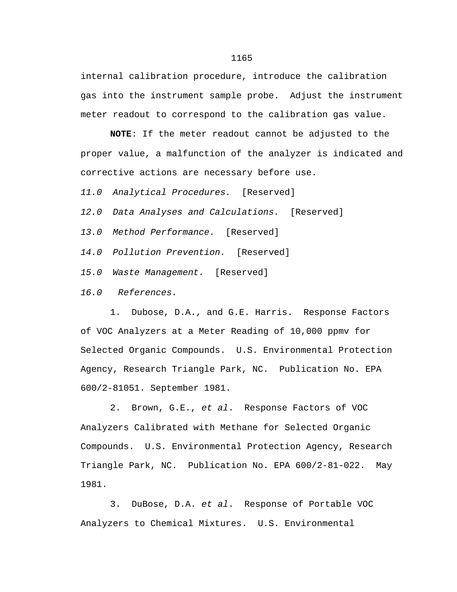internal calibration procedure, introduce the calibration gas into the instrument sample probe. Adjust the instrument meter readout to correspond to the calibration gas value.

**NOTE**: If the meter readout cannot be adjusted to the proper value, a malfunction of the analyzer is indicated and corrective actions are necessary before use.

*11.0 Analytical Procedures.* [Reserved]

*12.0 Data Analyses and Calculations.* [Reserved]

*13.0 Method Performance.* [Reserved]

*14.0 Pollution Prevention.* [Reserved]

*15.0 Waste Management.* [Reserved]

*16.0 References.*

1. Dubose, D.A., and G.E. Harris. Response Factors of VOC Analyzers at a Meter Reading of 10,000 ppmv for Selected Organic Compounds. U.S. Environmental Protection Agency, Research Triangle Park, NC. Publication No. EPA 600/2-81051. September 1981.

2. Brown, G.E., *et al*. Response Factors of VOC Analyzers Calibrated with Methane for Selected Organic Compounds. U.S. Environmental Protection Agency, Research Triangle Park, NC. Publication No. EPA 600/2-81-022. May 1981.

3. DuBose, D.A. *et al*. Response of Portable VOC Analyzers to Chemical Mixtures. U.S. Environmental